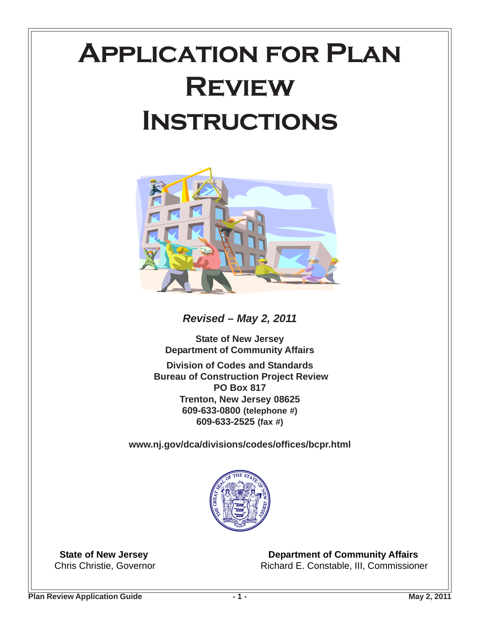# **Application for Plan Review Instructions**



**Revised – May 2, 2011**

**State of New Jersey Department of Community Affairs Division of Codes and Standards Bureau of Construction Project Review**

**PO Box 817 Trenton, New Jersey 08625 609-633-0800 (telephone #) 609-633-2525 (fax #)**

**www.nj.gov/dca/divisions/codes/offices/bcpr.html**



**State of New Jersey Community Affairs** Chris Christie, Governor Richard E. Constable, III, Commissioner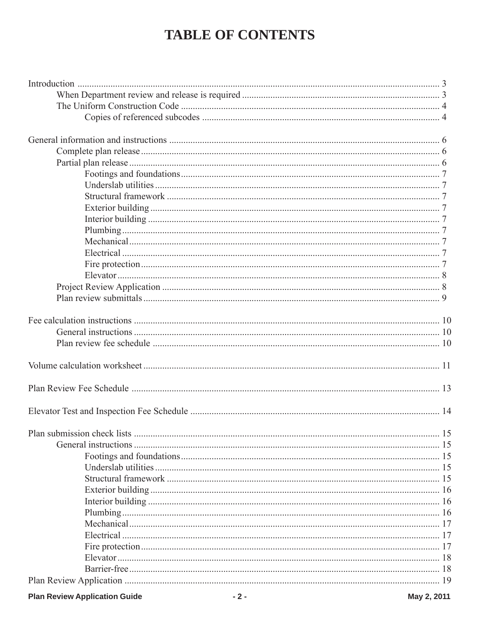# **TABLE OF CONTENTS**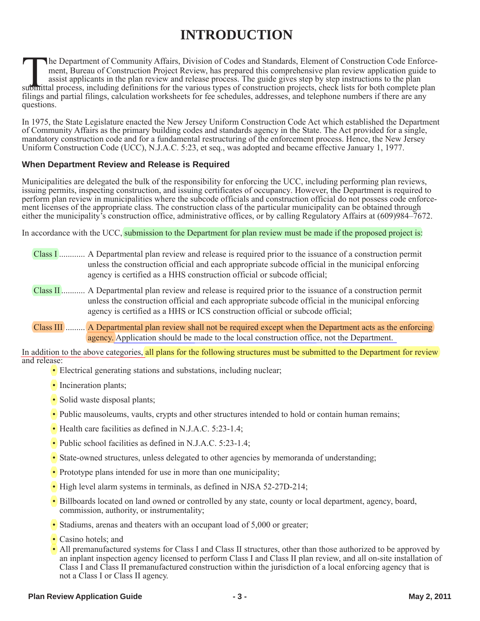# **INTRODUCTION**

The Department of Community Affairs, Division of Codes and Standards, Element of Construction Code Enforce<br>ment, Bureau of Construction Project Review, has prepared this comprehensive plan review application guide to<br>assis he Department of Community Affairs, Division of Codes and Standards, Element of Construction Code Enforcement, Bureau of Construction Project Review, has prepared this comprehensive plan review application guide to assist applicants in the plan review and release process. The guide gives step by step instructions to the plan filings and partial filings, calculation worksheets for fee schedules, addresses, and telephone numbers if there are any questions.

In 1975, the State Legislature enacted the New Jersey Uniform Construction Code Act which established the Department of Community Affairs as the primary building codes and standards agency in the State. The Act provided for a single, mandatory construction code and for a fundamental restructuring of the enforcement process. Hence, the New Jersey Uniform Construction Code (UCC), N.J.A.C. 5:23, et seq., was adopted and became effective January 1, 1977.

#### **When Department Review and Release is Required**

Municipalities are delegated the bulk of the responsibility for enforcing the UCC, including performing plan reviews, issuing permits, inspecting construction, and issuing certificates of occupancy. However, the Department is required to perform plan review in municipalities where the subcode officials and construction official do not possess code enforcement licenses of the appropriate class. The construction class of the particular municipality can be obtained through either the municipality's construction office, administrative offices, or by calling Regulatory Affairs at (609)984–7672.

In accordance with the UCC, submission to the Department for plan review must be made if the proposed project is:

- Class I ............ A Departmental plan review and release is required prior to the issuance of a construction permit unless the construction official and each appropriate subcode official in the municipal enforcing agency is certified as a HHS construction official or subcode official;
- Class II........... A Departmental plan review and release is required prior to the issuance of a construction permit unless the construction official and each appropriate subcode official in the municipal enforcing agency is certified as a HHS or ICS construction official or subcode official;
- Class III ......... A Departmental plan review shall not be required except when the Department acts as the enforcing agency. Application should be made to the local construction office, not the Department.

In addition to the above categories, all plans for the following structures must be submitted to the Department for review and release:

- Electrical generating stations and substations, including nuclear;
- Incineration plants;
- Solid waste disposal plants;
- Public mausoleums, vaults, crypts and other structures intended to hold or contain human remains;
- Health care facilities as defined in N.J.A.C. 5:23-1.4;
- Public school facilities as defined in N.J.A.C. 5:23-1.4;
- State-owned structures, unless delegated to other agencies by memoranda of understanding;
- Prototype plans intended for use in more than one municipality;
- High level alarm systems in terminals, as defined in NJSA 52-27D-214;
- Billboards located on land owned or controlled by any state, county or local department, agency, board, commission, authority, or instrumentality;
- Stadiums, arenas and theaters with an occupant load of 5,000 or greater;
- Casino hotels; and
- All premanufactured systems for Class I and Class II structures, other than those authorized to be approved by an inplant inspection agency licensed to perform Class I and Class II plan review, and all on-site installation of Class I and Class II premanufactured construction within the jurisdiction of a local enforcing agency that is not a Class I or Class II agency.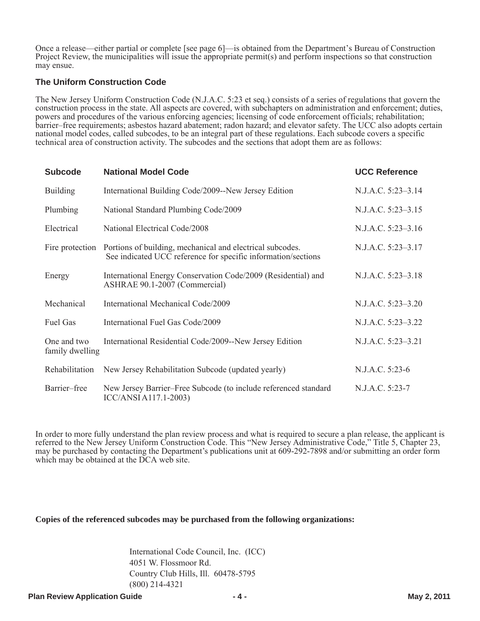Once a release—either partial or complete [see page 6]—is obtained from the Department's Bureau of Construction Project Review, the municipalities will issue the appropriate permit(s) and perform inspections so that construction may ensue.

#### **The Uniform Construction Code**

The New Jersey Uniform Construction Code (N.J.A.C. 5:23 et seq.) consists of a series of regulations that govern the construction process in the state. All aspects are covered, with subchapters on administration and enforcement; duties, powers and procedures of the various enforcing agencies; licensing of code enforcement officials; rehabilitation; barrier–free requirements; asbestos hazard abatement; radon hazard; and elevator safety. The UCC also adopts certain national model codes, called subcodes, to be an integral part of these regulations. Each subcode covers a specific technical area of construction activity. The subcodes and the sections that adopt them are as follows:

| <b>Subcode</b>                 | <b>National Model Code</b>                                                                                                 | <b>UCC Reference</b> |
|--------------------------------|----------------------------------------------------------------------------------------------------------------------------|----------------------|
| <b>Building</b>                | International Building Code/2009--New Jersey Edition                                                                       | N.J.A.C. 5:23-3.14   |
| Plumbing                       | National Standard Plumbing Code/2009                                                                                       | N.J.A.C. 5:23–3.15   |
| Electrical                     | National Electrical Code/2008                                                                                              | N.J.A.C. 5:23–3.16   |
| Fire protection                | Portions of building, mechanical and electrical subcodes.<br>See indicated UCC reference for specific information/sections | N.J.A.C. 5:23-3.17   |
| Energy                         | International Energy Conservation Code/2009 (Residential) and<br>ASHRAE 90.1-2007 (Commercial)                             | N.J.A.C. 5:23-3.18   |
| Mechanical                     | International Mechanical Code/2009                                                                                         | N.J.A.C. 5:23–3.20   |
| Fuel Gas                       | International Fuel Gas Code/2009                                                                                           | N.J.A.C. 5:23-3.22   |
| One and two<br>family dwelling | International Residential Code/2009--New Jersey Edition                                                                    | N.J.A.C. 5:23-3.21   |
| Rehabilitation                 | New Jersey Rehabilitation Subcode (updated yearly)                                                                         | N.J.A.C. 5:23-6      |
| Barrier-free                   | New Jersey Barrier–Free Subcode (to include referenced standard<br>ICC/ANSIA117.1-2003)                                    | N.J.A.C. 5:23-7      |

In order to more fully understand the plan review process and what is required to secure a plan release, the applicant is referred to the New Jersey Uniform Construction Code. This "New Jersey Administrative Code," Title 5, Chapter 23, may be purchased by contacting the Department's publications unit at 609-292-7898 and/or submitting an order form which may be obtained at the DCA web site.

#### **Copies of the referenced subcodes may be purchased from the following organizations:**

International Code Council, Inc. (ICC) 4051 W. Flossmoor Rd. Country Club Hills, Ill. 60478-5795 (800) 214-4321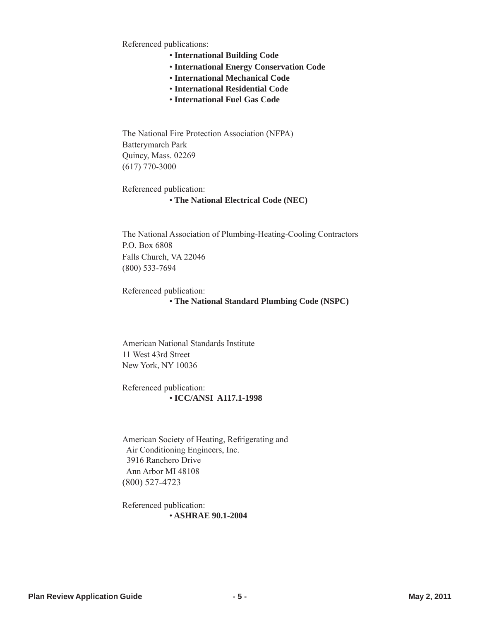Referenced publications:

- • **International Building Code**
- • **International Energy Conservation Code**
- • **International Mechanical Code**
- • **International Residential Code**
- • **International Fuel Gas Code**

The National Fire Protection Association (NFPA) Batterymarch Park Quincy, Mass. 02269 (617) 770-3000

Referenced publication:

#### • **The National Electrical Code (NEC)**

The National Association of Plumbing-Heating-Cooling Contractors P.O. Box 6808 Falls Church, VA 22046 (800) 533-7694

Referenced publication:

#### • **The National Standard Plumbing Code (NSPC)**

American National Standards Institute 11 West 43rd Street New York, NY 10036

Referenced publication: • **ICC/ANSI A117.1-1998**

American Society of Heating, Refrigerating and Air Conditioning Engineers, Inc. 3916 Ranchero Drive Ann Arbor MI 48108 (800) 527-4723

Referenced publication: • **ASHRAE 90.1-2004**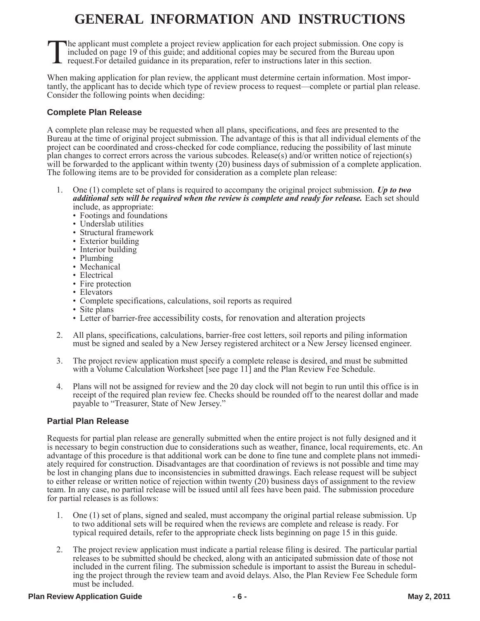# **GENERAL INFORMATION AND INSTRUCTIONS**

T he applicant must complete a project review application for each project submission. One copy is included on page 19 of this guide; and additional copies may be secured from the Bureau upon request.For detailed guidance in its preparation, refer to instructions later in this section.

When making application for plan review, the applicant must determine certain information. Most importantly, the applicant has to decide which type of review process to request—complete or partial plan release. Consider the following points when deciding:

#### **Complete Plan Release**

A complete plan release may be requested when all plans, specifications, and fees are presented to the Bureau at the time of original project submission. The advantage of this is that all individual elements of the project can be coordinated and cross-checked for code compliance, reducing the possibility of last minute plan changes to correct errors across the various subcodes. Release(s) and/or written notice of rejection(s) will be forwarded to the applicant within twenty (20) business days of submission of a complete application. The following items are to be provided for consideration as a complete plan release:

- 1. One (1) complete set of plans is required to accompany the original project submission. *Up to two additional sets will be required when the review is complete and ready for release.* Each set should include, as appropriate:
	- Footings and foundations
	- Underslab utilities
	- Structural framework
	- Exterior building
	- Interior building
	- Plumbing
	- Mechanical
	- Electrical
	- Fire protection
	- Elevators
	- Complete specifications, calculations, soil reports as required
	- Site plans
	- Letter of barrier-free accessibility costs, for renovation and alteration projects
- 2. All plans, specifications, calculations, barrier-free cost letters, soil reports and piling information must be signed and sealed by a New Jersey registered architect or a New Jersey licensed engineer.
- 3. The project review application must specify a complete release is desired, and must be submitted with a Volume Calculation Worksheet [see page 11] and the Plan Review Fee Schedule.
- 4. Plans will not be assigned for review and the 20 day clock will not begin to run until this office is in receipt of the required plan review fee. Checks should be rounded off to the nearest dollar and made payable to "Treasurer, State of New Jersey."

#### **Partial Plan Release**

Requests for partial plan release are generally submitted when the entire project is not fully designed and it is necessary to begin construction due to considerations such as weather, finance, local requirements, etc. An advantage of this procedure is that additional work can be done to fine tune and complete plans not immediately required for construction. Disadvantages are that coordination of reviews is not possible and time may be lost in changing plans due to inconsistencies in submitted drawings. Each release request will be subject to either release or written notice of rejection within twenty (20) business days of assignment to the review team. In any case, no partial release will be issued until all fees have been paid. The submission procedure for partial releases is as follows:

- 1. One (1) set of plans, signed and sealed, must accompany the original partial release submission. Up to two additional sets will be required when the reviews are complete and release is ready. For typical required details, refer to the appropriate check lists beginning on page 15 in this guide.
- 2. The project review application must indicate a partial release filing is desired. The particular partial releases to be submitted should be checked, along with an anticipated submission date of those not included in the current filing. The submission schedule is important to assist the Bureau in scheduling the project through the review team and avoid delays. Also, the Plan Review Fee Schedule form must be included.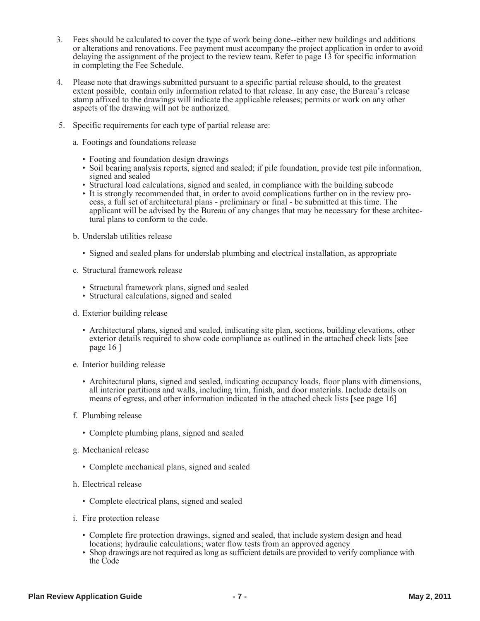- 3. Fees should be calculated to cover the type of work being done--either new buildings and additions or alterations and renovations. Fee payment must accompany the project application in order to avoid delaying the assignment of the project to the review team. Refer to page 13 for specific information in completing the Fee Schedule.
- 4. Please note that drawings submitted pursuant to a specific partial release should, to the greatest extent possible, contain only information related to that release. In any case, the Bureau's release stamp affixed to the drawings will indicate the applicable releases; permits or work on any other aspects of the drawing will not be authorized.
- 5. Specific requirements for each type of partial release are:
	- a. Footings and foundations release
		- Footing and foundation design drawings
		- Soil bearing analysis reports, signed and sealed; if pile foundation, provide test pile information, signed and sealed
		- Structural load calculations, signed and sealed, in compliance with the building subcode
		- It is strongly recommended that, in order to avoid complications further on in the review process, a full set of architectural plans - preliminary or final - be submitted at this time. The applicant will be advised by the Bureau of any changes that may be necessary for these architectural plans to conform to the code.
	- b. Underslab utilities release
		- Signed and sealed plans for underslab plumbing and electrical installation, as appropriate
	- c. Structural framework release
		- Structural framework plans, signed and sealed
		- Structural calculations, signed and sealed
	- d. Exterior building release
		- Architectural plans, signed and sealed, indicating site plan, sections, building elevations, other exterior details required to show code compliance as outlined in the attached check lists [see page 16 ]
	- e. Interior building release
		- Architectural plans, signed and sealed, indicating occupancy loads, floor plans with dimensions, all interior partitions and walls, including trim, finish, and door materials. Include details on means of egress, and other information indicated in the attached check lists [see page 16]
	- f. Plumbing release
		- Complete plumbing plans, signed and sealed
	- g. Mechanical release
		- Complete mechanical plans, signed and sealed
	- h. Electrical release
		- Complete electrical plans, signed and sealed
	- i. Fire protection release
		- Complete fire protection drawings, signed and sealed, that include system design and head locations; hydraulic calculations; water flow tests from an approved agency
		- Shop drawings are not required as long as sufficient details are provided to verify compliance with the Code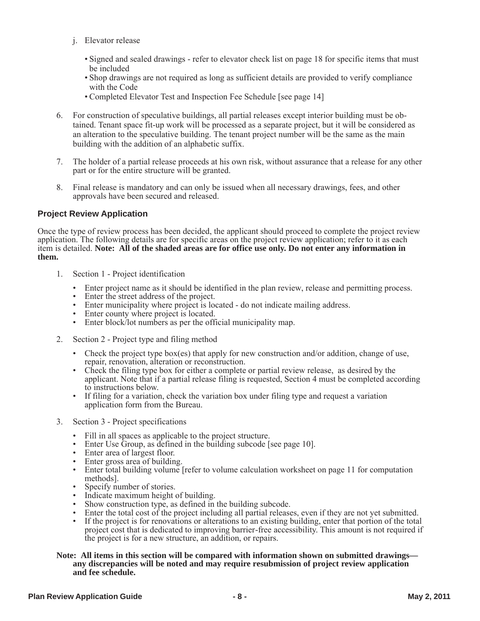- j. Elevator release
	- Signed and sealed drawings refer to elevator check list on page 18 for specific items that must be included
	- Shop drawings are not required as long as sufficient details are provided to verify compliance with the Code
	- Completed Elevator Test and Inspection Fee Schedule [see page 14]
- 6. For construction of speculative buildings, all partial releases except interior building must be obtained. Tenant space fit-up work will be processed as a separate project, but it will be considered as an alteration to the speculative building. The tenant project number will be the same as the main building with the addition of an alphabetic suffix.
- 7. The holder of a partial release proceeds at his own risk, without assurance that a release for any other part or for the entire structure will be granted.
- 8. Final release is mandatory and can only be issued when all necessary drawings, fees, and other approvals have been secured and released.

#### **Project Review Application**

Once the type of review process has been decided, the applicant should proceed to complete the project review application. The following details are for specific areas on the project review application; refer to it as each item is detailed. **Note: All of the shaded areas are for office use only. Do not enter any information in them.**

- 1. Section 1 Project identification
	- Enter project name as it should be identified in the plan review, release and permitting process.
	- Enter the street address of the project.
	- Enter municipality where project is located do not indicate mailing address.
	- Enter county where project is located.
	- Enter block/lot numbers as per the official municipality map.
- 2. Section 2 Project type and filing method
	- Check the project type box(es) that apply for new construction and/or addition, change of use, repair, renovation, alteration or reconstruction.
	- Check the filing type box for either a complete or partial review release, as desired by the applicant. Note that if a partial release filing is requested, Section 4 must be completed according to instructions below.
	- If filing for a variation, check the variation box under filing type and request a variation application form from the Bureau.
- 3. Section 3 Project specifications
	- Fill in all spaces as applicable to the project structure.
	- Enter Use Group, as defined in the building subcode [see page 10].
	- Enter area of largest floor.
	- Enter gross area of building.
	- Enter total building volume [refer to volume calculation worksheet on page 11 for computation methods].
	- Specify number of stories.
	- Indicate maximum height of building.
	- Show construction type, as defined in the building subcode.
	- Enter the total cost of the project including all partial releases, even if they are not yet submitted.
	- If the project is for renovations or alterations to an existing building, enter that portion of the total project cost that is dedicated to improving barrier-free accessibility. This amount is not required if the project is for a new structure, an addition, or repairs.

#### **Note: All items in this section will be compared with information shown on submitted drawings any discrepancies will be noted and may require resubmission of project review application and fee schedule.**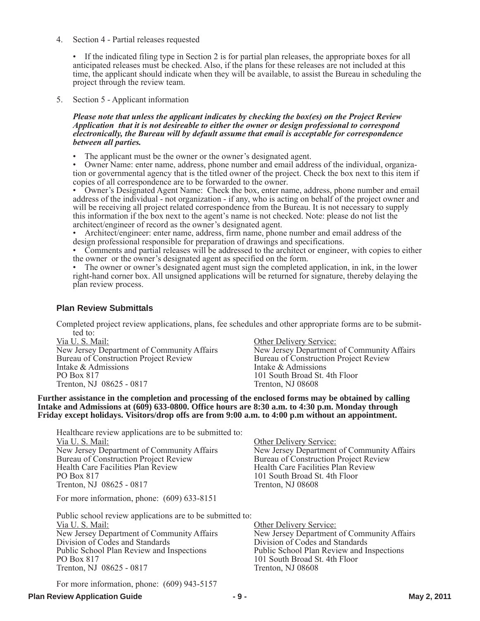4. Section 4 - Partial releases requested

• If the indicated filing type in Section 2 is for partial plan releases, the appropriate boxes for all anticipated releases must be checked. Also, if the plans for these releases are not included at this time, the applicant should indicate when they will be available, to assist the Bureau in scheduling the project through the review team.

5. Section 5 - Applicant information

*Please note that unless the applicant indicates by checking the box(es) on the Project Review Application that it is not desireable to either the owner or design professional to correspond electronically, the Bureau will by default assume that email is acceptable for correspondence between all parties.*

The applicant must be the owner or the owner's designated agent.

• Owner Name: enter name, address, phone number and email address of the individual, organization or governmental agency that is the titled owner of the project. Check the box next to this item if copies of all correspondence are to be forwarded to the owner.

• Owner's Designated Agent Name: Check the box, enter name, address, phone number and email address of the individual - not organization - if any, who is acting on behalf of the project owner and will be receiving all project related correspondence from the Bureau. It is not necessary to supply this information if the box next to the agent's name is not checked. Note: please do not list the architect/engineer of record as the owner's designated agent.

• Architect/engineer: enter name, address, firm name, phone number and email address of the design professional responsible for preparation of drawings and specifications.

• Comments and partial releases will be addressed to the architect or engineer, with copies to either the owner or the owner's designated agent as specified on the form.

The owner or owner's designated agent must sign the completed application, in ink, in the lower right-hand corner box. All unsigned applications will be returned for signature, thereby delaying the plan review process.

#### **Plan Review Submittals**

Completed project review applications, plans, fee schedules and other appropriate forms are to be submit-

ted to:<br>Via U. S. Mail: New Jersey Department of Community Affairs New Jersey Department of Community .<br>Bureau of Construction Project Review Bureau of Construction Project Review Bureau of Construction Project Review Bureau of Construction Project Review Bureau of Construction Project Review Bureau of Construction Project Review Bureau of Construction Project Review Bureau of Construction Project R Intake & Admissions<br>PO Box 817 Trenton, NJ 08625 - 0817

Other Delivery Service:<br>New Jersey Department of Community Affairs 101 South Broad St. 4th Floor<br>Trenton, NJ 08608

**Further assistance in the completion and processing of the enclosed forms may be obtained by calling Intake and Admissions at (609) 633-0800. Office hours are 8:30 a.m. to 4:30 p.m. Monday through Friday except holidays. Visitors/drop offs are from 9:00 a.m. to 4:00 p.m without an appointment.**

Healthcare review applications are to be submitted to:<br>Via U. S. Mail: Via U. S. Mail: (2015)<br>New Jersey Department of Community Affairs (2016)<br>New Jersey Department Bureau of Construction Project Review Bureau of Construction Project Review Bureau of Construction Project Review Health Care Facilities Plan Review Health Care Facilities Plan Review<br>PO Box 817 Trenton, NJ 08625 - 0817

For more information, phone: (609) 633-8151

Public school review applications are to be submitted to:<br>Via U. S. Mail: New Jersey Department of Community Affairs<br>
Division of Codes and Standards<br>
Division of Codes and Standards<br>
New Jersey Department of Community Affairs Division of Codes and Standards Public School Plan Review and Inspections<br>
Public School Plan Review and Inspections<br>
PUBLIC School Plan Review and Inspections<br>
PUBLIC School Plan Review and Inspections<br>
PUBLIC School Plan Review and Inspections Trenton, NJ 08625 - 0817

New Jersey Department of Community Affairs<br>Bureau of Construction Project Review 101 South Broad St. 4th Floor<br>Trenton, NJ 08608

Other Delivery Service: 101 South Broad St. 4th Floor<br>Trenton, NJ 08608

For more information, phone: (609) 943-5157

#### **Plan Review Application Guide - 9 - May 2, 2011**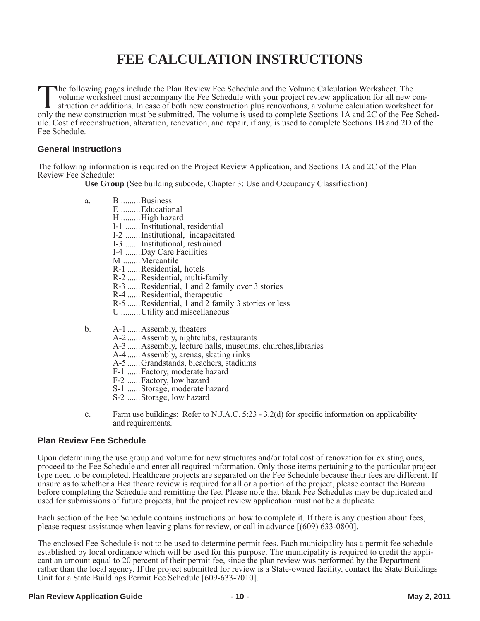# **FEE CALCULATION INSTRUCTIONS**

The following pages include the Plan Review Fee Schedule and the Volume Calculation Worksheet. The volume worksheet must accompany the Fee Schedule with your project review application for all new construction or additions he following pages include the Plan Review Fee Schedule and the Volume Calculation Worksheet. The volume worksheet must accompany the Fee Schedule with your project review application for all new construction or additions. In case of both new construction plus renovations, a volume calculation worksheet for ule. Cost of reconstruction, alteration, renovation, and repair, if any, is used to complete Sections 1B and 2D of the Fee Schedule.

#### **General Instructions**

The following information is required on the Project Review Application, and Sections 1A and 2C of the Plan Review Fee Schedule:

**Use Group** (See building subcode, Chapter 3: Use and Occupancy Classification)

- a. B .........Business
	- E .........Educational
	- H .........High hazard
	- I-1 .......Institutional, residential
	- I-2 .......Institutional, incapacitated
	- I-3 .......Institutional, restrained
	- I-4 .......Day Care Facilities
	- M ........Mercantile
	- R-1 ......Residential, hotels
	- R-2 ......Residential, multi-family
	- R-3 ......Residential, 1 and 2 family over 3 stories
	- R-4 ......Residential, therapeutic
	- R-5 ......Residential, 1 and 2 family 3 stories or less
	- U .........Utility and miscellaneous
- b. A-1 ......Assembly, theaters
	- A-2 ......Assembly, nightclubs, restaurants
	- A-3 ......Assembly, lecture halls, museums, churches,libraries
	- A-4 ......Assembly, arenas, skating rinks
	- A-5 ......Grandstands, bleachers, stadiums
	- F-1 ......Factory, moderate hazard
	- F-2 ......Factory, low hazard
	- S-1 ......Storage, moderate hazard
	- S-2 ......Storage, low hazard
- c. Farm use buildings: Refer to N.J.A.C. 5:23 3.2(d) for specific information on applicability and requirements.

#### **Plan Review Fee Schedule**

Upon determining the use group and volume for new structures and/or total cost of renovation for existing ones, proceed to the Fee Schedule and enter all required information. Only those items pertaining to the particular project type need to be completed. Healthcare projects are separated on the Fee Schedule because their fees are different. If unsure as to whether a Healthcare review is required for all or a portion of the project, please contact the Bureau before completing the Schedule and remitting the fee. Please note that blank Fee Schedules may be duplicated and used for submissions of future projects, but the project review application must not be a duplicate.

Each section of the Fee Schedule contains instructions on how to complete it. If there is any question about fees, please request assistance when leaving plans for review, or call in advance  $[(609) 633-0800]$ .

The enclosed Fee Schedule is not to be used to determine permit fees. Each municipality has a permit fee schedule established by local ordinance which will be used for this purpose. The municipality is required to credit the applicant an amount equal to 20 percent of their permit fee, since the plan review was performed by the Department rather than the local agency. If the project submitted for review is a State-owned facility, contact the State Buildings Unit for a State Buildings Permit Fee Schedule [609-633-7010].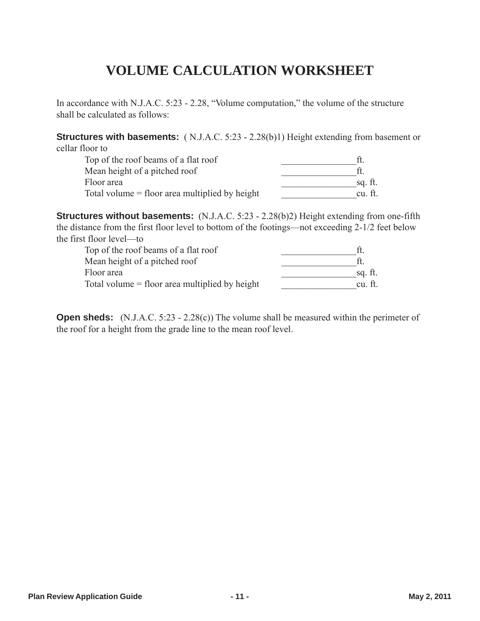# **VOLUME CALCULATION WORKSHEET**

In accordance with N.J.A.C. 5:23 - 2.28, "Volume computation," the volume of the structure shall be calculated as follows:

**Structures with basements:** ( N.J.A.C. 5:23 - 2.28(b)1) Height extending from basement or cellar floor to

| Top of the roof beams of a flat roof             |         |
|--------------------------------------------------|---------|
| Mean height of a pitched roof                    |         |
| Floor area                                       | sq. ft. |
| Total volume $=$ floor area multiplied by height | cu. ft. |

**Structures without basements:** (N.J.A.C. 5:23 - 2.28(b)2) Height extending from one-fifth the distance from the first floor level to bottom of the footings—not exceeding 2-1/2 feet below the first floor level—to

| Top of the roof beams of a flat roof             |         |
|--------------------------------------------------|---------|
| Mean height of a pitched roof                    |         |
| Floor area                                       | sq. ft. |
| Total volume $=$ floor area multiplied by height | cu. ft. |

**Open sheds:** (N.J.A.C. 5:23 - 2.28(c)) The volume shall be measured within the perimeter of the roof for a height from the grade line to the mean roof level.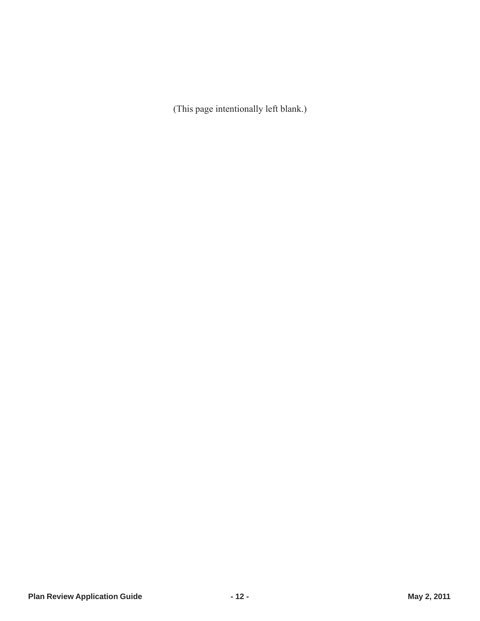(This page intentionally left blank.)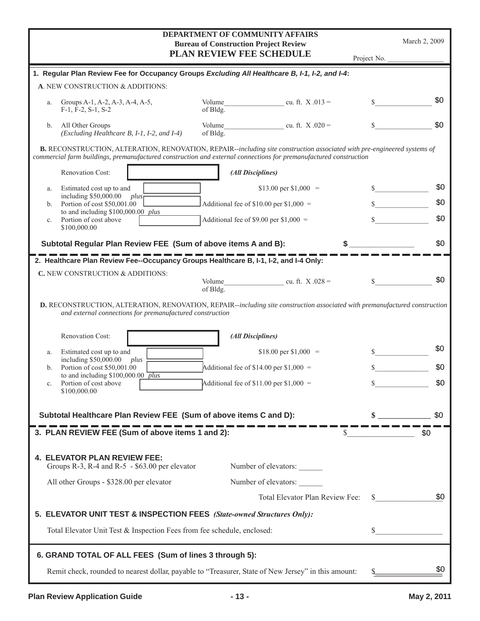| <b>DEPARTMENT OF COMMUNITY AFFAIRS</b><br><b>Bureau of Construction Project Review</b><br>PLAN REVIEW FEE SCHEDULE                        | Project No.                                                                                                                                                                                                                                   | March 2, 2009  |                                                                                                                                                                                                                                                                                                                                                                                                                                                                                                                                       |  |
|-------------------------------------------------------------------------------------------------------------------------------------------|-----------------------------------------------------------------------------------------------------------------------------------------------------------------------------------------------------------------------------------------------|----------------|---------------------------------------------------------------------------------------------------------------------------------------------------------------------------------------------------------------------------------------------------------------------------------------------------------------------------------------------------------------------------------------------------------------------------------------------------------------------------------------------------------------------------------------|--|
|                                                                                                                                           | 1. Regular Plan Review Fee for Occupancy Groups Excluding All Healthcare B, I-1, I-2, and I-4:                                                                                                                                                |                |                                                                                                                                                                                                                                                                                                                                                                                                                                                                                                                                       |  |
| A. NEW CONSTRUCTION & ADDITIONS:                                                                                                          |                                                                                                                                                                                                                                               |                |                                                                                                                                                                                                                                                                                                                                                                                                                                                                                                                                       |  |
| Groups A-1, A-2, A-3, A-4, A-5,<br>a.<br>$F-1$ , $F-2$ , $S-1$ , $S-2$                                                                    | Volume<br>cu. ft. $X.013 =$<br>of Bldg.                                                                                                                                                                                                       |                | \$0                                                                                                                                                                                                                                                                                                                                                                                                                                                                                                                                   |  |
| All Other Groups<br>b.<br>(Excluding Healthcare B, I-1, I-2, and I-4)                                                                     | Volume<br>cu. ft. $X .020 =$<br>of Bldg.                                                                                                                                                                                                      |                | \$0                                                                                                                                                                                                                                                                                                                                                                                                                                                                                                                                   |  |
|                                                                                                                                           | B. RECONSTRUCTION, ALTERATION, RENOVATION, REPAIR--including site construction associated with pre-engineered systems of<br>commercial farm buildings, premanufactured construction and external connections for premanufactured construction |                |                                                                                                                                                                                                                                                                                                                                                                                                                                                                                                                                       |  |
| Renovation Cost:                                                                                                                          | (All Disciplines)                                                                                                                                                                                                                             |                |                                                                                                                                                                                                                                                                                                                                                                                                                                                                                                                                       |  |
| Estimated cost up to and<br>a.                                                                                                            | $$13.00$ per $$1,000$ =                                                                                                                                                                                                                       |                | \$0                                                                                                                                                                                                                                                                                                                                                                                                                                                                                                                                   |  |
| including \$50,000.00<br>$plus$ $\overline{r}$<br>Portion of cost \$50,001.00<br>b.<br>to and including $$100,000.00$ plus                | Additional fee of $$10.00$ per $$1,000 =$                                                                                                                                                                                                     |                | \$0                                                                                                                                                                                                                                                                                                                                                                                                                                                                                                                                   |  |
| Portion of cost above<br>$c_{\cdot}$<br>\$100,000.00                                                                                      | Additional fee of \$9.00 per $$1,000 =$                                                                                                                                                                                                       |                | \$0                                                                                                                                                                                                                                                                                                                                                                                                                                                                                                                                   |  |
| Subtotal Regular Plan Review FEE (Sum of above items A and B):                                                                            |                                                                                                                                                                                                                                               |                | \$0                                                                                                                                                                                                                                                                                                                                                                                                                                                                                                                                   |  |
| 2. Healthcare Plan Review Fee--Occupancy Groups Healthcare B, I-1, I-2, and I-4 Only:                                                     |                                                                                                                                                                                                                                               |                |                                                                                                                                                                                                                                                                                                                                                                                                                                                                                                                                       |  |
| C. NEW CONSTRUCTION & ADDITIONS:                                                                                                          | of Bldg.                                                                                                                                                                                                                                      | S.             | \$0                                                                                                                                                                                                                                                                                                                                                                                                                                                                                                                                   |  |
| and external connections for premanufactured construction<br><b>Renovation Cost:</b>                                                      | D. RECONSTRUCTION, ALTERATION, RENOVATION, REPAIR--including site construction associated with premanufactured construction                                                                                                                   |                |                                                                                                                                                                                                                                                                                                                                                                                                                                                                                                                                       |  |
|                                                                                                                                           | (All Disciplines)                                                                                                                                                                                                                             |                | \$0                                                                                                                                                                                                                                                                                                                                                                                                                                                                                                                                   |  |
| Estimated cost up to and<br>a.<br>including $$50,000.00$ plus                                                                             | $$18.00$ per \$1,000 =                                                                                                                                                                                                                        |                |                                                                                                                                                                                                                                                                                                                                                                                                                                                                                                                                       |  |
| Portion of cost \$50,001.00<br>$\mathbf{b}$ .<br>to and including \$100,000.00 $\overline{plus}$<br>Portion of cost above<br>\$100,000.00 | Additional fee of \$14.00 per \$1,000 =<br>Additional fee of $$11.00$ per $$1,000 =$                                                                                                                                                          | S.             | \$0<br>\$0                                                                                                                                                                                                                                                                                                                                                                                                                                                                                                                            |  |
| Subtotal Healthcare Plan Review FEE (Sum of above items C and D):                                                                         |                                                                                                                                                                                                                                               |                | $\textcolor{red}{\textbf{\$}}\textcolor{red}{\textbf{\$}}\textcolor{red}{\textbf{\$}}\textcolor{red}{\textbf{\$}}\textcolor{red}{\textbf{\$}}\textcolor{red}{\textbf{\$}}\textcolor{red}{\textbf{\$}}\textcolor{red}{\textbf{\$}}\textcolor{red}{\textbf{\$}}\textcolor{red}{\textbf{\$}}\textcolor{red}{\textbf{\$}}\textcolor{red}{\textbf{\$}}\textcolor{red}{\textbf{\$}}\textcolor{red}{\textbf{\$}}\textcolor{red}{\textbf{\$}}\textcolor{red}{\textbf{\$}}\textcolor{red}{\textbf{\$}}\textcolor{red}{\textbf{\$}}\textcolor{$ |  |
| 3. PLAN REVIEW FEE (Sum of above items 1 and 2):                                                                                          | <sup>S</sup>                                                                                                                                                                                                                                  |                | \$0                                                                                                                                                                                                                                                                                                                                                                                                                                                                                                                                   |  |
| <b>4. ELEVATOR PLAN REVIEW FEE:</b>                                                                                                       |                                                                                                                                                                                                                                               |                |                                                                                                                                                                                                                                                                                                                                                                                                                                                                                                                                       |  |
| Groups R-3, R-4 and R-5 $-$ \$63.00 per elevator                                                                                          | Number of elevators:                                                                                                                                                                                                                          |                |                                                                                                                                                                                                                                                                                                                                                                                                                                                                                                                                       |  |
| All other Groups - \$328.00 per elevator                                                                                                  | Number of elevators:                                                                                                                                                                                                                          |                |                                                                                                                                                                                                                                                                                                                                                                                                                                                                                                                                       |  |
|                                                                                                                                           | Total Elevator Plan Review Fee:                                                                                                                                                                                                               | $\mathbb{S}^-$ | \$0                                                                                                                                                                                                                                                                                                                                                                                                                                                                                                                                   |  |
| 5. ELEVATOR UNIT TEST & INSPECTION FEES (State-owned Structures Only):                                                                    |                                                                                                                                                                                                                                               |                |                                                                                                                                                                                                                                                                                                                                                                                                                                                                                                                                       |  |
| Total Elevator Unit Test & Inspection Fees from fee schedule, enclosed:                                                                   |                                                                                                                                                                                                                                               |                |                                                                                                                                                                                                                                                                                                                                                                                                                                                                                                                                       |  |
| 6. GRAND TOTAL OF ALL FEES (Sum of lines 3 through 5):                                                                                    |                                                                                                                                                                                                                                               |                |                                                                                                                                                                                                                                                                                                                                                                                                                                                                                                                                       |  |
|                                                                                                                                           | Remit check, rounded to nearest dollar, payable to "Treasurer, State of New Jersey" in this amount:                                                                                                                                           |                | \$0                                                                                                                                                                                                                                                                                                                                                                                                                                                                                                                                   |  |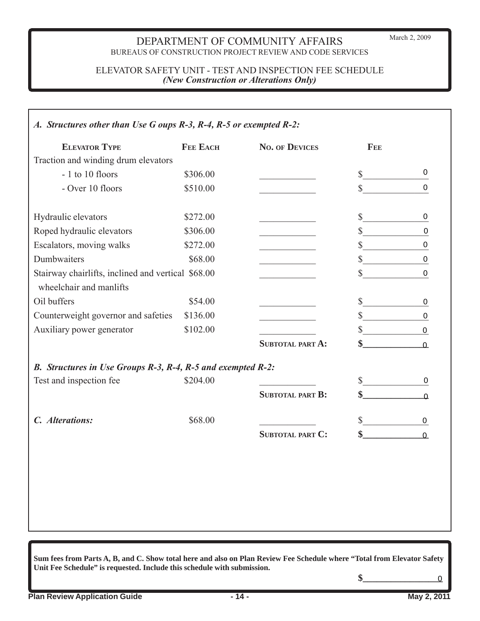### DEPARTMENT OF COMMUNITY AFFAIRS BUREAUS OF CONSTRUCTION PROJECT REVIEW AND CODE SERVICES

March 2, 2009

### ELEVATOR SAFETY UNIT - TEST AND INSPECTION FEE SCHEDULE *(New Construction or Alterations Only)*

| <b>ELEVATOR TYPE</b>                                                          | <b>FEE EACH</b> | <b>NO. OF DEVICES</b>   | FEE          |                |
|-------------------------------------------------------------------------------|-----------------|-------------------------|--------------|----------------|
| Traction and winding drum elevators                                           |                 |                         |              |                |
| - 1 to 10 floors                                                              | \$306.00        |                         | $\mathbb{S}$ | 0              |
| - Over 10 floors                                                              | \$510.00        |                         | \$           | $\Omega$       |
| Hydraulic elevators                                                           | \$272.00        |                         |              | 0              |
| Roped hydraulic elevators                                                     | \$306.00        |                         |              | 0              |
| Escalators, moving walks                                                      | \$272.00        |                         |              | 0              |
| Dumbwaiters                                                                   | \$68.00         |                         |              | 0              |
| Stairway chairlifts, inclined and vertical \$68.00<br>wheelchair and manlifts |                 |                         |              | 0              |
| Oil buffers                                                                   | \$54.00         |                         |              | $\pmb{0}$      |
| Counterweight governor and safeties                                           | \$136.00        |                         |              | $\mathbf 0$    |
| Auxiliary power generator                                                     | \$102.00        |                         |              | $\mathbf 0$    |
|                                                                               |                 | <b>SUBTOTAL PART A:</b> |              | $\overline{0}$ |
| B. Structures in Use Groups R-3, R-4, R-5 and exempted R-2:                   |                 |                         |              |                |
| Test and inspection fee                                                       | \$204.00        |                         |              | 0              |
|                                                                               |                 | <b>SUBTOTAL PART B:</b> |              | $\Omega$       |
| C. Alterations:                                                               | \$68.00         |                         | $\mathbb{S}$ | 0              |
|                                                                               |                 | <b>SUBTOTAL PART C:</b> |              | $\Omega$       |

**Sum fees from Parts A, B, and C. Show total here and also on Plan Review Fee Schedule where "Total from Elevator Safety Unit Fee Schedule" is requested. Include this schedule with submission. \$\_\_\_\_\_\_\_\_\_\_\_\_\_\_\_\_\_**



0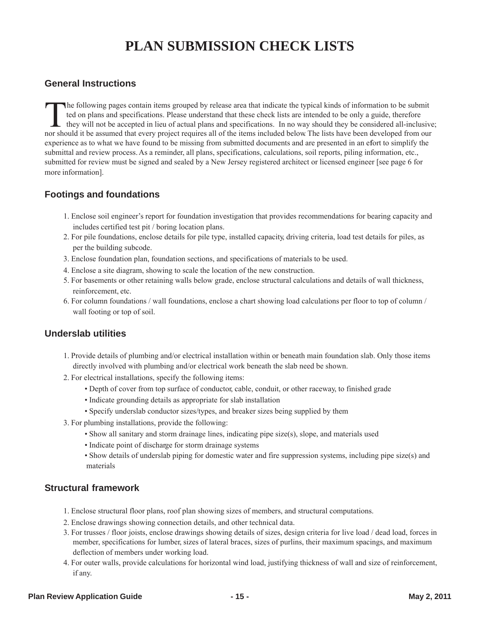# **PLAN SUBMISSION CHECK LISTS**

## **General Instructions**

The following pages contain items grouped by release area that indicate the typical kinds of information to be submit<br>ted on plans and specifications. Please understand that these check lists are intended to be only a guid he following pages contain items grouped by release area that indicate the typical kinds of information to be submit ted on plans and specifications. Please understand that these check lists are intended to be only a guide, therefore they will not be accepted in lieu of actual plans and specifications. In no way should they be considered all-inclusive; experience as to what we have found to be missing from submitted documents and are presented in an efort to simplify the submittal and review process. As a reminder, all plans, specifications, calculations, soil reports, piling information, etc., submitted for review must be signed and sealed by a New Jersey registered architect or licensed engineer [see page 6 for more information].

## **Footings and foundations**

- 1. Enclose soil engineer's report for foundation investigation that provides recommendations for bearing capacity and includes certified test pit / boring location plans.
- 2. For pile foundations, enclose details for pile type, installed capacity, driving criteria, load test details for piles, as per the building subcode.
- 3. Enclose foundation plan, foundation sections, and specifications of materials to be used.
- 4. Enclose a site diagram, showing to scale the location of the new construction.
- 5. For basements or other retaining walls below grade, enclose structural calculations and details of wall thickness, reinforcement, etc.
- 6. For column foundations / wall foundations, enclose a chart showing load calculations per floor to top of column / wall footing or top of soil.

#### **Underslab utilities**

- 1. Provide details of plumbing and/or electrical installation within or beneath main foundation slab. Only those items directly involved with plumbing and/or electrical work beneath the slab need be shown.
- 2. For electrical installations, specify the following items:
	- Depth of cover from top surface of conductor, cable, conduit, or other raceway, to finished grade
	- Indicate grounding details as appropriate for slab installation
	- Specify underslab conductor sizes/types, and breaker sizes being supplied by them
- 3. For plumbing installations, provide the following:
	- Show all sanitary and storm drainage lines, indicating pipe size(s), slope, and materials used
	- Indicate point of discharge for storm drainage systems
	- Show details of underslab piping for domestic water and fire suppression systems, including pipe size(s) and materials

#### **Structural framework**

- 1. Enclose structural floor plans, roof plan showing sizes of members, and structural computations.
- 2. Enclose drawings showing connection details, and other technical data.
- 3. For trusses / floor joists, enclose drawings showing details of sizes, design criteria for live load / dead load, forces in member, specifications for lumber, sizes of lateral braces, sizes of purlins, their maximum spacings, and maximum deflection of members under working load.
- 4. For outer walls, provide calculations for horizontal wind load, justifying thickness of wall and size of reinforcement, if any.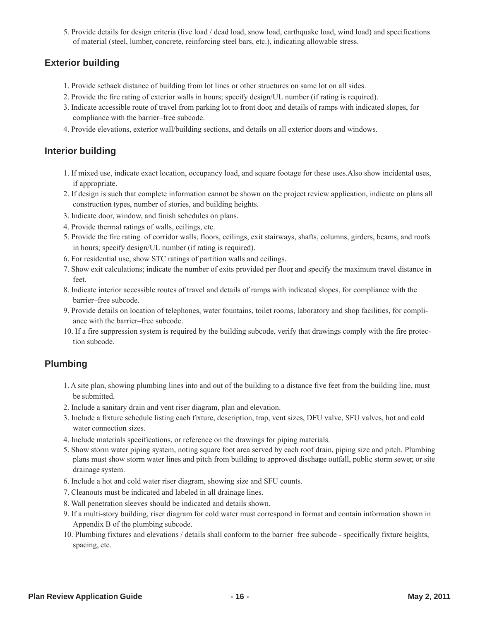5. Provide details for design criteria (live load / dead load, snow load, earthquake load, wind load) and specifications of material (steel, lumber, concrete, reinforcing steel bars, etc.), indicating allowable stress.

# **Exterior building**

- 1. Provide setback distance of building from lot lines or other structures on same lot on all sides.
- 2. Provide the fire rating of exterior walls in hours; specify design/UL number (if rating is required).
- 3. Indicate accessible route of travel from parking lot to front door, and details of ramps with indicated slopes, for compliance with the barrier–free subcode.
- 4. Provide elevations, exterior wall/building sections, and details on all exterior doors and windows.

# **Interior building**

- 1. If mixed use, indicate exact location, occupancy load, and square footage for these uses. Also show incidental uses, if appropriate.
- 2. If design is such that complete information cannot be shown on the project review application, indicate on plans all construction types, number of stories, and building heights.
- 3. Indicate door, window, and finish schedules on plans.
- 4. Provide thermal ratings of walls, ceilings, etc.
- 5. Provide the fire rating of corridor walls, floors, ceilings, exit stairways, shafts, columns, girders, beams, and roofs in hours; specify design/UL number (if rating is required).
- 6. For residential use, show STC ratings of partition walls and ceilings.
- 7. Show exit calculations; indicate the number of exits provided per floor, and specify the maximum travel distance in feet.
- 8. Indicate interior accessible routes of travel and details of ramps with indicated slopes, for compliance with the barrier–free subcode.
- 9. Provide details on location of telephones, water fountains, toilet rooms, laboratory and shop facilities, for compliance with the barrier–free subcode.
- 10. If a fire suppression system is required by the building subcode, verify that drawings comply with the fire protection subcode.

# **Plumbing**

- 1. A site plan, showing plumbing lines into and out of the building to a distance five feet from the building line, must be submitted.
- 2. Include a sanitary drain and vent riser diagram, plan and elevation.
- 3. Include a fixture schedule listing each fixture, description, trap, vent sizes, DFU valve, SFU valves, hot and cold water connection sizes.
- 4. Include materials specifications, or reference on the drawings for piping materials.
- 5. Show storm water piping system, noting square foot area served by each roof drain, piping size and pitch. Plumbing plans must show storm water lines and pitch from building to approved discharge outfall, public storm sewer, or site drainage system.
- 6. Include a hot and cold water riser diagram, showing size and SFU counts.
- 7. Cleanouts must be indicated and labeled in all drainage lines.
- 8. Wall penetration sleeves should be indicated and details shown.
- 9. If a multi-story building, riser diagram for cold water must correspond in format and contain information shown in Appendix B of the plumbing subcode.
- 10. Plumbing fixtures and elevations / details shall conform to the barrier–free subcode specifically fixture heights, spacing, etc.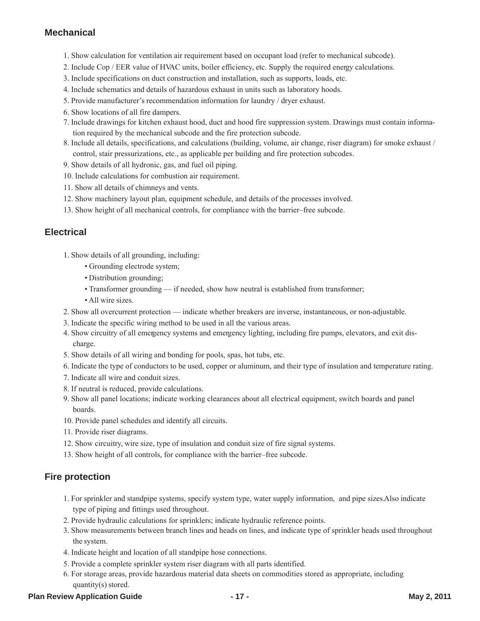# **Mechanical**

- 1. Show calculation for ventilation air requirement based on occupant load (refer to mechanical subcode).
- 2. Include Cop / EER value of HVAC units, boiler efficiency, etc. Supply the required energy calculations.
- 3. Include specifications on duct construction and installation, such as supports, loads, etc.
- 4. Include schematics and details of hazardous exhaust in units such as laboratory hoods.
- 5. Provide manufacturer's recommendation information for laundry / dryer exhaust.
- 6. Show locations of all fire dampers.
- 7. Include drawings for kitchen exhaust hood, duct and hood fire suppression system. Drawings must contain information required by the mechanical subcode and the fire protection subcode.
- 8. Include all details, specifications, and calculations (building, volume, air change, riser diagram) for smoke exhaust / control, stair pressurizations, etc., as applicable per building and fire protection subcodes.
- 9. Show details of all hydronic, gas, and fuel oil piping.
- 10. Include calculations for combustion air requirement.
- 11. Show all details of chimneys and vents.
- 12. Show machinery layout plan, equipment schedule, and details of the processes involved.
- 13. Show height of all mechanical controls, for compliance with the barrier–free subcode.

## **Electrical**

- 1. Show details of all grounding, including:
	- Grounding electrode system;
	- Distribution grounding;
	- Transformer grounding if needed, show how neutral is established from transformer;
	- All wire sizes.
- 2. Show all overcurrent protection indicate whether breakers are inverse, instantaneous, or non-adjustable.
- 3. Indicate the specific wiring method to be used in all the various areas.
- 4. Show circuitry of all emergency systems and emergency lighting, including fire pumps, elevators, and exit discharge.
- 5. Show details of all wiring and bonding for pools, spas, hot tubs, etc.
- 6. Indicate the type of conductors to be used, copper or aluminum, and their type of insulation and temperature rating.
- 7. Indicate all wire and conduit sizes.
- 8. If neutral is reduced, provide calculations.
- 9. Show all panel locations; indicate working clearances about all electrical equipment, switch boards and panel boards.
- 10. Provide panel schedules and identify all circuits.
- 11. Provide riser diagrams.
- 12. Show circuitry, wire size, type of insulation and conduit size of fire signal systems.
- 13. Show height of all controls, for compliance with the barrier–free subcode.

## **Fire protection**

- 1. For sprinkler and standpipe systems, specify system type, water supply information, and pipe sizes. Also indicate type of piping and fittings used throughout.
- 2. Provide hydraulic calculations for sprinklers; indicate hydraulic reference points.
- 3. Show measurements between branch lines and heads on lines, and indicate type of sprinkler heads used throughout the system.
- 4. Indicate height and location of all standpipe hose connections.
- 5. Provide a complete sprinkler system riser diagram with all parts identified.
- 6. For storage areas, provide hazardous material data sheets on commodities stored as appropriate, including quantity(s) stored.

#### **Plan Review Application Guide - 17 - May 2, 2011**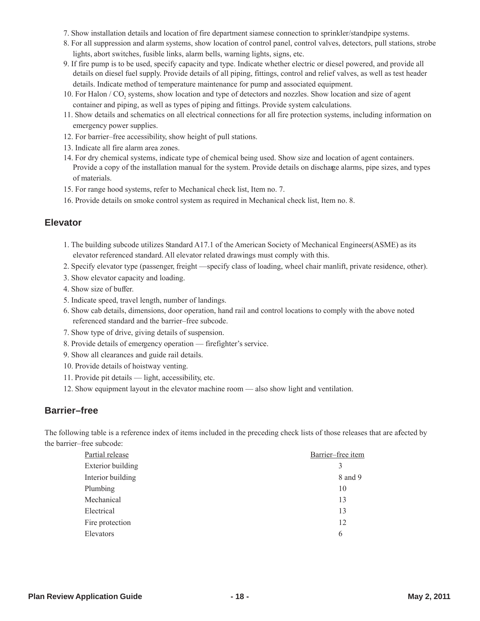- 7. Show installation details and location of fire department siamese connection to sprinkler/standpipe systems.
- 8. For all suppression and alarm systems, show location of control panel, control valves, detectors, pull stations, strobe lights, abort switches, fusible links, alarm bells, warning lights, signs, etc.
- 9. If fire pump is to be used, specify capacity and type. Indicate whether electric or diesel powered, and provide all details on diesel fuel supply. Provide details of all piping, fittings, control and relief valves, as well as test header details. Indicate method of temperature maintenance for pump and associated equipment.
- 10. For Halon  $/$  CO<sub>2</sub> systems, show location and type of detectors and nozzles. Show location and size of agent container and piping, as well as types of piping and fittings. Provide system calculations.
- 11. Show details and schematics on all electrical connections for all fire protection systems, including information on emergency power supplies.
- 12. For barrier–free accessibility, show height of pull stations.
- 13. Indicate all fire alarm area zones.
- 14. For dry chemical systems, indicate type of chemical being used. Show size and location of agent containers. Provide a copy of the installation manual for the system. Provide details on discharge alarms, pipe sizes, and types of materials.
- 15. For range hood systems, refer to Mechanical check list, Item no. 7.
- 16. Provide details on smoke control system as required in Mechanical check list, Item no. 8.

#### **Elevator**

- 1. The building subcode utilizes Standard A17.1 of the American Society of Mechanical Engineers(ASME) as its elevator referenced standard. All elevator related drawings must comply with this.
- 2. Specify elevator type (passenger, freight —specify class of loading, wheel chair manlift, private residence, other).
- 3. Show elevator capacity and loading.
- 4. Show size of buffer.
- 5. Indicate speed, travel length, number of landings.
- 6. Show cab details, dimensions, door operation, hand rail and control locations to comply with the above noted referenced standard and the barrier–free subcode.
- 7. Show type of drive, giving details of suspension.
- 8. Provide details of emergency operation firefighter's service.
- 9. Show all clearances and guide rail details.
- 10. Provide details of hoistway venting.
- 11. Provide pit details light, accessibility, etc.
- 12. Show equipment layout in the elevator machine room also show light and ventilation.

## **Barrier–free**

The following table is a reference index of items included in the preceding check lists of those releases that are afected by the barrier–free subcode:

| Partial release          | Barrier-free item |
|--------------------------|-------------------|
| <b>Exterior building</b> | 3                 |
| Interior building        | 8 and 9           |
| Plumbing                 | 10                |
| Mechanical               | 13                |
| Electrical               | 13                |
| Fire protection          | 12                |
| Elevators                | 6                 |